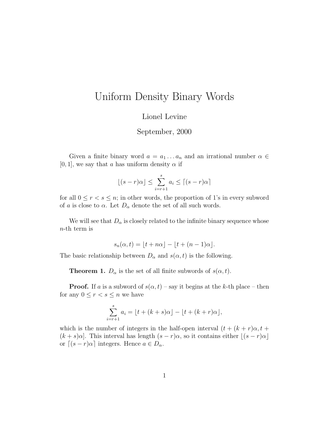## Uniform Density Binary Words

Lionel Levine

September, 2000

Given a finite binary word  $a = a_1 \dots a_n$  and an irrational number  $\alpha \in \mathcal{A}$  $[0, 1]$ , we say that a has uniform density  $\alpha$  if

$$
\lfloor (s-r)\alpha \rfloor \le \sum_{i=r+1}^s a_i \le \lceil (s-r)\alpha \rceil
$$

for all  $0 \le r < s \le n$ ; in other words, the proportion of 1's in every subword of a is close to  $\alpha$ . Let  $D_{\alpha}$  denote the set of all such words.

We will see that  $D_{\alpha}$  is closely related to the infinite binary sequence whose n-th term is

$$
s_n(\alpha, t) = \lfloor t + n\alpha \rfloor - \lfloor t + (n-1)\alpha \rfloor.
$$

The basic relationship between  $D_{\alpha}$  and  $s(\alpha, t)$  is the following.

**Theorem 1.**  $D_{\alpha}$  is the set of all finite subwords of  $s(\alpha, t)$ .

**Proof.** If a is a subword of  $s(\alpha, t)$  – say it begins at the k-th place – then for any  $0 \leq r < s \leq n$  we have

$$
\sum_{i=r+1}^{s} a_i = \lfloor t + (k+s)\alpha \rfloor - \lfloor t + (k+r)\alpha \rfloor,
$$

which is the number of integers in the half-open interval  $(t + (k + r)\alpha, t +$  $(k + s)\alpha$ . This interval has length  $(s - r)\alpha$ , so it contains either  $\lfloor (s - r)\alpha \rfloor$ or  $[(s - r)\alpha]$  integers. Hence  $a \in D_{\alpha}$ .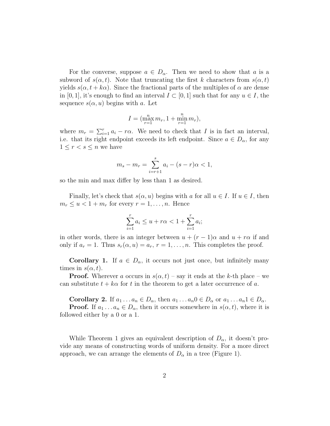For the converse, suppose  $a \in D_{\alpha}$ . Then we need to show that a is a subword of  $s(\alpha, t)$ . Note that truncating the first k characters from  $s(\alpha, t)$ yields  $s(\alpha, t + k\alpha)$ . Since the fractional parts of the multiples of  $\alpha$  are dense in [0, 1], it's enough to find an interval  $I \subset [0, 1]$  such that for any  $u \in I$ , the sequence  $s(\alpha, u)$  begins with a. Let

$$
I = (\max_{r=1}^{n} m_r, 1 + \min_{r=1}^{n} m_r),
$$

where  $m_r = \sum_{i=1}^r a_i - r\alpha$ . We need to check that I is in fact an interval, i.e. that its right endpoint exceeds its left endpoint. Since  $a \in D_{\alpha}$ , for any  $1 \leq r < s \leq n$  we have

$$
m_s - m_r = \sum_{i=r+1}^s a_i - (s-r)\alpha < 1,
$$

so the min and max differ by less than 1 as desired.

Finally, let's check that  $s(\alpha, u)$  begins with a for all  $u \in I$ . If  $u \in I$ , then  $m_r \le u < 1 + m_r$  for every  $r = 1, \ldots, n$ . Hence

$$
\sum_{i=1}^{r} a_i \le u + r\alpha < 1 + \sum_{i=1}^{r} a_i;
$$

in other words, there is an integer between  $u + (r - 1)\alpha$  and  $u + r\alpha$  if and only if  $a_r = 1$ . Thus  $s_r(\alpha, u) = a_r$ ,  $r = 1, \ldots, n$ . This completes the proof.

**Corollary 1.** If  $a \in D_\alpha$ , it occurs not just once, but infinitely many times in  $s(\alpha, t)$ .

**Proof.** Wherever a occurs in  $s(\alpha, t)$  – say it ends at the k-th place – we can substitute  $t + k\alpha$  for t in the theorem to get a later occurrence of a.

**Corollary 2.** If  $a_1 \nldots a_n \in D_\alpha$ , then  $a_1 \ldots a_n 0 \in D_\alpha$  or  $a_1 \ldots a_n 1 \in D_\alpha$ .

**Proof.** If  $a_1 \ldots a_n \in D_\alpha$ , then it occurs somewhere in  $s(\alpha, t)$ , where it is followed either by a 0 or a 1.

While Theorem 1 gives an equivalent description of  $D_{\alpha}$ , it doesn't provide any means of constructing words of uniform density. For a more direct approach, we can arrange the elements of  $D_{\alpha}$  in a tree (Figure 1).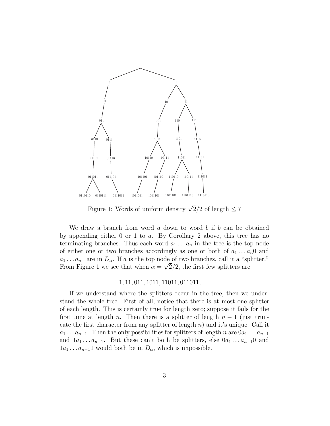

Figure 1: Words of uniform density  $\sqrt{2}/2$  of length  $\leq 7$ 

We draw a branch from word  $a$  down to word  $b$  if  $b$  can be obtained by appending either 0 or 1 to a. By Corollary 2 above, this tree has no terminating branches. Thus each word  $a_1 \ldots a_n$  in the tree is the top node of either one or two branches accordingly as one or both of  $a_1 \ldots a_n 0$  and  $a_1 \ldots a_n$ 1 are in  $D_\alpha$ . If a is the top node of two branches, call it a "splitter." From Figure 1 we see that when  $\alpha = \sqrt{2}/2$ , the first few splitters are

## $1, 11, 011, 1011, 11011, 011011, \ldots$

If we understand where the splitters occur in the tree, then we understand the whole tree. First of all, notice that there is at most one splitter of each length. This is certainly true for length zero; suppose it fails for the first time at length n. Then there is a splitter of length  $n-1$  (just truncate the first character from any splitter of length  $n)$  and it's unique. Call it  $a_1 \ldots a_{n-1}$ . Then the only possibilities for splitters of length n are  $0a_1 \ldots a_{n-1}$ and  $1a_1 \ldots a_{n-1}$ . But these can't both be splitters, else  $0a_1 \ldots a_{n-1}0$  and  $1a_1 \ldots a_{n-1}1$  would both be in  $D_{\alpha}$ , which is impossible.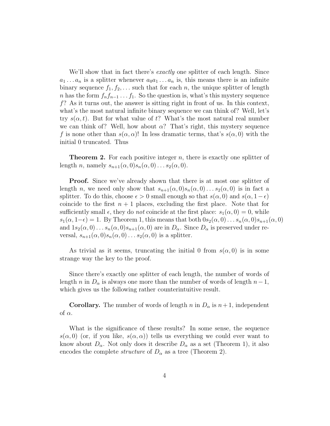We'll show that in fact there's *exactly* one splitter of each length. Since  $a_1 \ldots a_n$  is a splitter whenever  $a_0 a_1 \ldots a_n$  is, this means there is an infinite binary sequence  $f_1, f_2, \ldots$  such that for each n, the unique splitter of length n has the form  $f_n f_{n-1} \ldots f_1$ . So the question is, what's this mystery sequence  $f$ ? As it turns out, the answer is sitting right in front of us. In this context, what's the most natural infinite binary sequence we can think of? Well, let's try  $s(\alpha, t)$ . But for what value of t? What's the most natural real number we can think of? Well, how about  $\alpha$ ? That's right, this mystery sequence f is none other than  $s(\alpha, \alpha)!$  In less dramatic terms, that's  $s(\alpha, 0)$  with the initial 0 truncated. Thus

**Theorem 2.** For each positive integer  $n$ , there is exactly one splitter of length *n*, namely  $s_{n+1}(\alpha, 0)s_n(\alpha, 0) \ldots s_2(\alpha, 0)$ .

**Proof.** Since we've already shown that there is at most one splitter of length n, we need only show that  $s_{n+1}(\alpha, 0)s_n(\alpha, 0) \dots s_2(\alpha, 0)$  is in fact a splitter. To do this, choose  $\epsilon > 0$  small enough so that  $s(\alpha, 0)$  and  $s(\alpha, 1-\epsilon)$ coincide to the first  $n + 1$  places, excluding the first place. Note that for sufficiently small  $\epsilon$ , they do *not* coincide at the first place:  $s_1(\alpha, 0) = 0$ , while  $s_1(\alpha, 1-\epsilon) = 1$ . By Theorem 1, this means that both  $0s_2(\alpha, 0) \ldots s_n(\alpha, 0)s_{n+1}(\alpha, 0)$ and  $1s_2(\alpha,0)\dots s_n(\alpha,0)s_{n+1}(\alpha,0)$  are in  $D_\alpha$ . Since  $D_\alpha$  is preserved under reversal,  $s_{n+1}(\alpha, 0)s_n(\alpha, 0) \dots s_2(\alpha, 0)$  is a splitter.

As trivial as it seems, truncating the initial 0 from  $s(\alpha, 0)$  is in some strange way the key to the proof.

Since there's exactly one splitter of each length, the number of words of length n in  $D_{\alpha}$  is always one more than the number of words of length  $n-1$ , which gives us the following rather counterintuitive result.

**Corollary.** The number of words of length n in  $D_{\alpha}$  is  $n+1$ , independent of  $\alpha$ .

What is the significance of these results? In some sense, the sequence  $s(\alpha, 0)$  (or, if you like,  $s(\alpha, \alpha)$ ) tells us everything we could ever want to know about  $D_{\alpha}$ . Not only does it describe  $D_{\alpha}$  as a set (Theorem 1), it also encodes the complete *structure* of  $D_{\alpha}$  as a tree (Theorem 2).